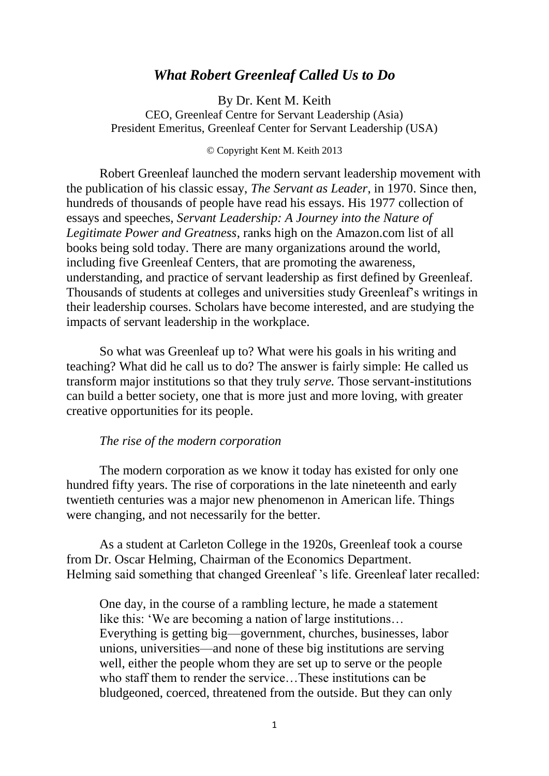# *What Robert Greenleaf Called Us to Do*

By Dr. Kent M. Keith CEO, Greenleaf Centre for Servant Leadership (Asia) President Emeritus, Greenleaf Center for Servant Leadership (USA)

#### © Copyright Kent M. Keith 2013

Robert Greenleaf launched the modern servant leadership movement with the publication of his classic essay, *The Servant as Leader*, in 1970. Since then, hundreds of thousands of people have read his essays. His 1977 collection of essays and speeches, *Servant Leadership: A Journey into the Nature of Legitimate Power and Greatness*, ranks high on the Amazon.com list of all books being sold today. There are many organizations around the world, including five Greenleaf Centers, that are promoting the awareness, understanding, and practice of servant leadership as first defined by Greenleaf. Thousands of students at colleges and universities study Greenleaf's writings in their leadership courses. Scholars have become interested, and are studying the impacts of servant leadership in the workplace.

So what was Greenleaf up to? What were his goals in his writing and teaching? What did he call us to do? The answer is fairly simple: He called us transform major institutions so that they truly *serve.* Those servant-institutions can build a better society, one that is more just and more loving, with greater creative opportunities for its people.

### *The rise of the modern corporation*

The modern corporation as we know it today has existed for only one hundred fifty years. The rise of corporations in the late nineteenth and early twentieth centuries was a major new phenomenon in American life. Things were changing, and not necessarily for the better.

As a student at Carleton College in the 1920s, Greenleaf took a course from Dr. Oscar Helming, Chairman of the Economics Department. Helming said something that changed Greenleaf 's life. Greenleaf later recalled:

One day, in the course of a rambling lecture, he made a statement like this: 'We are becoming a nation of large institutions… Everything is getting big—government, churches, businesses, labor unions, universities—and none of these big institutions are serving well, either the people whom they are set up to serve or the people who staff them to render the service...These institutions can be bludgeoned, coerced, threatened from the outside. But they can only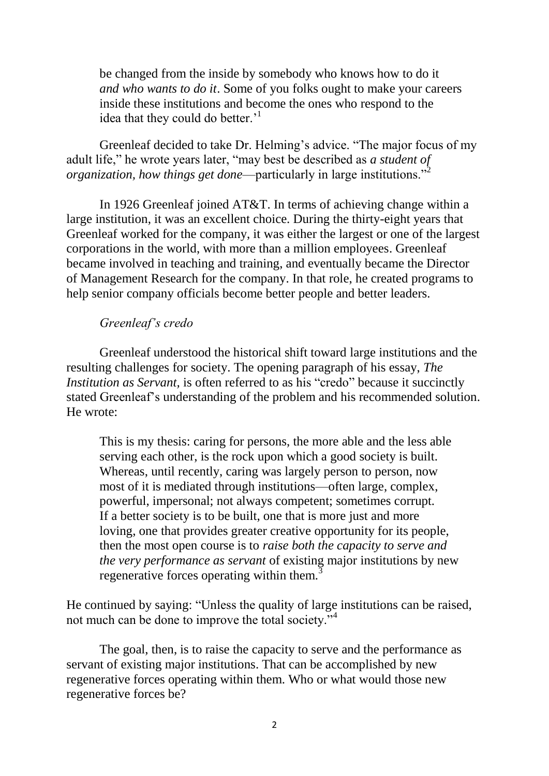be changed from the inside by somebody who knows how to do it *and who wants to do it*. Some of you folks ought to make your careers inside these institutions and become the ones who respond to the idea that they could do better.<sup>1</sup>

Greenleaf decided to take Dr. Helming's advice. "The major focus of my adult life," he wrote years later, "may best be described as *a student of organization, how things get done*—particularly in large institutions."<sup>2</sup>

In 1926 Greenleaf joined AT&T. In terms of achieving change within a large institution, it was an excellent choice. During the thirty-eight years that Greenleaf worked for the company, it was either the largest or one of the largest corporations in the world, with more than a million employees. Greenleaf became involved in teaching and training, and eventually became the Director of Management Research for the company. In that role, he created programs to help senior company officials become better people and better leaders.

## *Greenleaf's credo*

Greenleaf understood the historical shift toward large institutions and the resulting challenges for society. The opening paragraph of his essay, *The Institution as Servant,* is often referred to as his "credo" because it succinctly stated Greenleaf's understanding of the problem and his recommended solution. He wrote:

This is my thesis: caring for persons, the more able and the less able serving each other, is the rock upon which a good society is built. Whereas, until recently, caring was largely person to person, now most of it is mediated through institutions—often large, complex, powerful, impersonal; not always competent; sometimes corrupt. If a better society is to be built, one that is more just and more loving, one that provides greater creative opportunity for its people, then the most open course is to *raise both the capacity to serve and the very performance as servant* of existing major institutions by new regenerative forces operating within them.<sup>3</sup>

He continued by saying: "Unless the quality of large institutions can be raised, not much can be done to improve the total society."<sup>4</sup>

The goal, then, is to raise the capacity to serve and the performance as servant of existing major institutions. That can be accomplished by new regenerative forces operating within them. Who or what would those new regenerative forces be?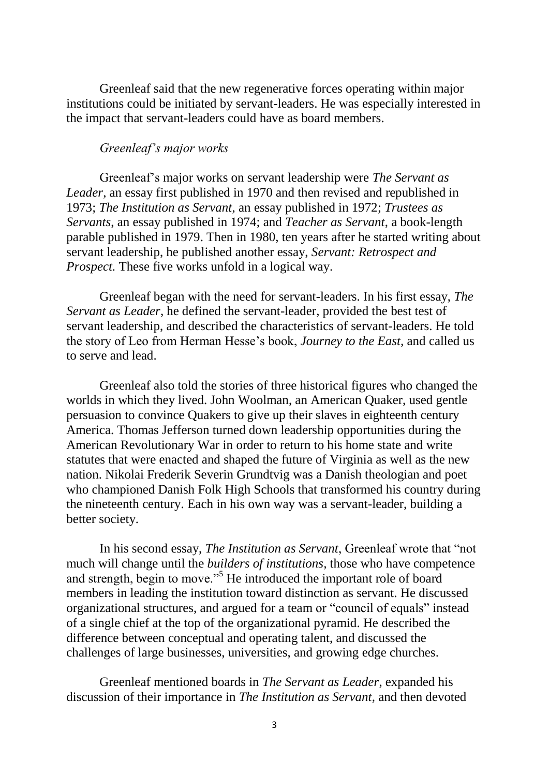Greenleaf said that the new regenerative forces operating within major institutions could be initiated by servant-leaders. He was especially interested in the impact that servant-leaders could have as board members.

### *Greenleaf's major works*

Greenleaf's major works on servant leadership were *The Servant as Leader*, an essay first published in 1970 and then revised and republished in 1973; *The Institution as Servant*, an essay published in 1972; *Trustees as Servants*, an essay published in 1974; and *Teacher as Servant*, a book-length parable published in 1979. Then in 1980, ten years after he started writing about servant leadership, he published another essay, *Servant: Retrospect and Prospect.* These five works unfold in a logical way.

Greenleaf began with the need for servant-leaders. In his first essay, *The Servant as Leader*, he defined the servant-leader, provided the best test of servant leadership, and described the characteristics of servant-leaders. He told the story of Leo from Herman Hesse's book, *Journey to the East,* and called us to serve and lead.

Greenleaf also told the stories of three historical figures who changed the worlds in which they lived. John Woolman, an American Quaker, used gentle persuasion to convince Quakers to give up their slaves in eighteenth century America. Thomas Jefferson turned down leadership opportunities during the American Revolutionary War in order to return to his home state and write statutes that were enacted and shaped the future of Virginia as well as the new nation. Nikolai Frederik Severin Grundtvig was a Danish theologian and poet who championed Danish Folk High Schools that transformed his country during the nineteenth century. Each in his own way was a servant-leader, building a better society.

In his second essay, *The Institution as Servant*, Greenleaf wrote that "not much will change until the *builders of institutions,* those who have competence and strength, begin to move."<sup>5</sup> He introduced the important role of board members in leading the institution toward distinction as servant. He discussed organizational structures, and argued for a team or "council of equals" instead of a single chief at the top of the organizational pyramid. He described the difference between conceptual and operating talent, and discussed the challenges of large businesses, universities, and growing edge churches.

Greenleaf mentioned boards in *The Servant as Leader*, expanded his discussion of their importance in *The Institution as Servant,* and then devoted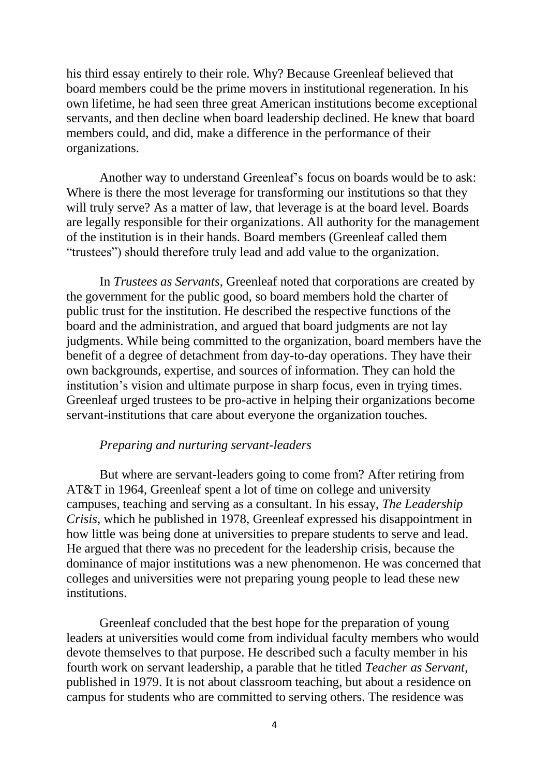his third essay entirely to their role. Why? Because Greenleaf believed that board members could be the prime movers in institutional regeneration. In his own lifetime, he had seen three great American institutions become exceptional servants, and then decline when board leadership declined. He knew that board members could, and did, make a difference in the performance of their organizations.

Another way to understand Greenleaf's focus on boards would be to ask: Where is there the most leverage for transforming our institutions so that they will truly serve? As a matter of law, that leverage is at the board level. Boards are legally responsible for their organizations. All authority for the management of the institution is in their hands. Board members (Greenleaf called them "trustees") should therefore truly lead and add value to the organization.

In *Trustees as Servants*, Greenleaf noted that corporations are created by the government for the public good, so board members hold the charter of public trust for the institution. He described the respective functions of the board and the administration, and argued that board judgments are not lay judgments. While being committed to the organization, board members have the benefit of a degree of detachment from day-to-day operations. They have their own backgrounds, expertise, and sources of information. They can hold the institution's vision and ultimate purpose in sharp focus, even in trying times. Greenleaf urged trustees to be pro-active in helping their organizations become servant-institutions that care about everyone the organization touches.

#### *Preparing and nurturing servant-leaders*

But where are servant-leaders going to come from? After retiring from AT&T in 1964, Greenleaf spent a lot of time on college and university campuses, teaching and serving as a consultant. In his essay, *The Leadership Crisis*, which he published in 1978, Greenleaf expressed his disappointment in how little was being done at universities to prepare students to serve and lead. He argued that there was no precedent for the leadership crisis, because the dominance of major institutions was a new phenomenon. He was concerned that colleges and universities were not preparing young people to lead these new institutions.

Greenleaf concluded that the best hope for the preparation of young leaders at universities would come from individual faculty members who would devote themselves to that purpose. He described such a faculty member in his fourth work on servant leadership, a parable that he titled *Teacher as Servant*, published in 1979. It is not about classroom teaching, but about a residence on campus for students who are committed to serving others. The residence was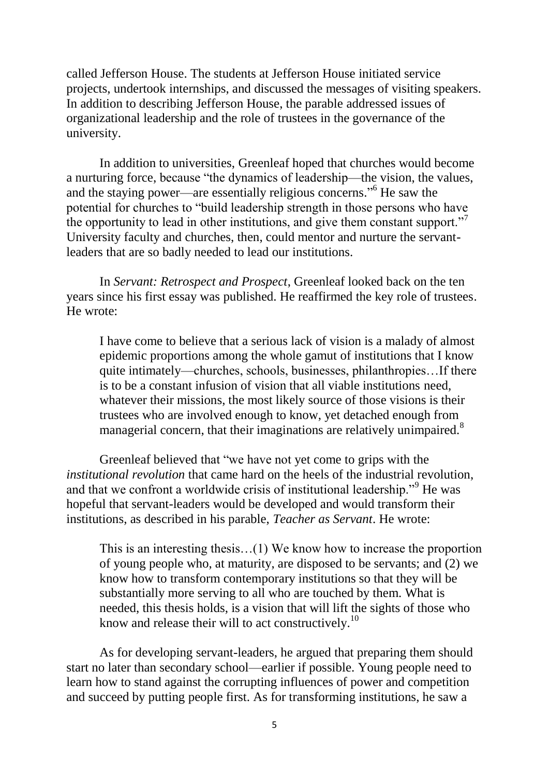called Jefferson House. The students at Jefferson House initiated service projects, undertook internships, and discussed the messages of visiting speakers. In addition to describing Jefferson House, the parable addressed issues of organizational leadership and the role of trustees in the governance of the university.

In addition to universities, Greenleaf hoped that churches would become a nurturing force, because "the dynamics of leadership—the vision, the values, and the staying power—are essentially religious concerns." <sup>6</sup> He saw the potential for churches to "build leadership strength in those persons who have the opportunity to lead in other institutions, and give them constant support." University faculty and churches, then, could mentor and nurture the servantleaders that are so badly needed to lead our institutions.

In *Servant: Retrospect and Prospect*, Greenleaf looked back on the ten years since his first essay was published. He reaffirmed the key role of trustees. He wrote:

I have come to believe that a serious lack of vision is a malady of almost epidemic proportions among the whole gamut of institutions that I know quite intimately—churches, schools, businesses, philanthropies…If there is to be a constant infusion of vision that all viable institutions need, whatever their missions, the most likely source of those visions is their trustees who are involved enough to know, yet detached enough from managerial concern, that their imaginations are relatively unimpaired.<sup>8</sup>

Greenleaf believed that "we have not yet come to grips with the *institutional revolution* that came hard on the heels of the industrial revolution, and that we confront a worldwide crisis of institutional leadership."<sup>9</sup> He was hopeful that servant-leaders would be developed and would transform their institutions, as described in his parable, *Teacher as Servant*. He wrote:

This is an interesting thesis…(1) We know how to increase the proportion of young people who, at maturity, are disposed to be servants; and (2) we know how to transform contemporary institutions so that they will be substantially more serving to all who are touched by them. What is needed, this thesis holds, is a vision that will lift the sights of those who know and release their will to act constructively.<sup>10</sup>

As for developing servant-leaders, he argued that preparing them should start no later than secondary school—earlier if possible. Young people need to learn how to stand against the corrupting influences of power and competition and succeed by putting people first. As for transforming institutions, he saw a